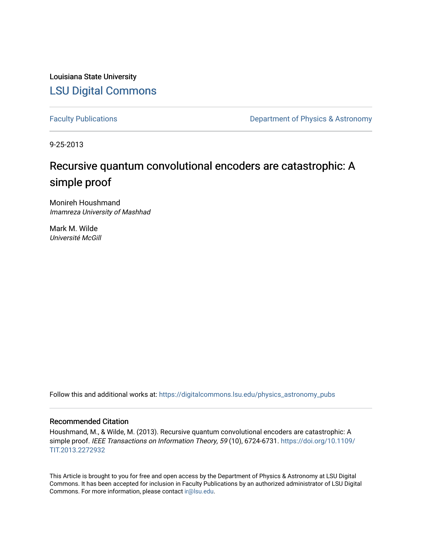Louisiana State University [LSU Digital Commons](https://digitalcommons.lsu.edu/)

[Faculty Publications](https://digitalcommons.lsu.edu/physics_astronomy_pubs) **Exercise 2 and Table 2 and Table 2 and Table 2 and Table 2 and Table 2 and Table 2 and Table 2 and Table 2 and Table 2 and Table 2 and Table 2 and Table 2 and Table 2 and Table 2 and Table 2 and Table** 

9-25-2013

# Recursive quantum convolutional encoders are catastrophic: A simple proof

Monireh Houshmand Imamreza University of Mashhad

Mark M. Wilde Université McGill

Follow this and additional works at: [https://digitalcommons.lsu.edu/physics\\_astronomy\\_pubs](https://digitalcommons.lsu.edu/physics_astronomy_pubs?utm_source=digitalcommons.lsu.edu%2Fphysics_astronomy_pubs%2F5716&utm_medium=PDF&utm_campaign=PDFCoverPages) 

#### Recommended Citation

Houshmand, M., & Wilde, M. (2013). Recursive quantum convolutional encoders are catastrophic: A simple proof. IEEE Transactions on Information Theory, 59 (10), 6724-6731. [https://doi.org/10.1109/](https://doi.org/10.1109/TIT.2013.2272932) [TIT.2013.2272932](https://doi.org/10.1109/TIT.2013.2272932)

This Article is brought to you for free and open access by the Department of Physics & Astronomy at LSU Digital Commons. It has been accepted for inclusion in Faculty Publications by an authorized administrator of LSU Digital Commons. For more information, please contact [ir@lsu.edu](mailto:ir@lsu.edu).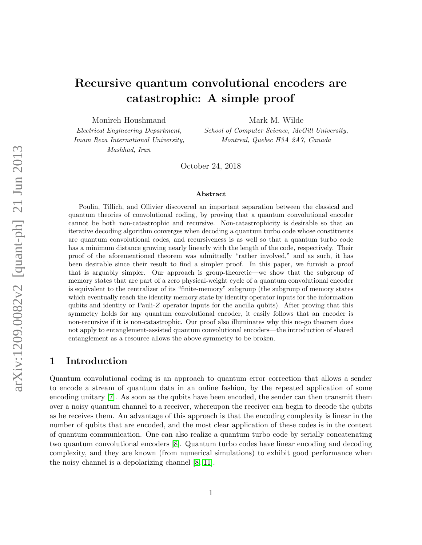## Recursive quantum convolutional encoders are catastrophic: A simple proof

Monireh Houshmand

Mark M. Wilde

Electrical Engineering Department, Imam Reza International University, Mashhad, Iran

School of Computer Science, McGill University, Montreal, Quebec H3A 2A7, Canada

October 24, 2018

#### Abstract

Poulin, Tillich, and Ollivier discovered an important separation between the classical and quantum theories of convolutional coding, by proving that a quantum convolutional encoder cannot be both non-catastrophic and recursive. Non-catastrophicity is desirable so that an iterative decoding algorithm converges when decoding a quantum turbo code whose constituents are quantum convolutional codes, and recursiveness is as well so that a quantum turbo code has a minimum distance growing nearly linearly with the length of the code, respectively. Their proof of the aforementioned theorem was admittedly "rather involved," and as such, it has been desirable since their result to find a simpler proof. In this paper, we furnish a proof that is arguably simpler. Our approach is group-theoretic—we show that the subgroup of memory states that are part of a zero physical-weight cycle of a quantum convolutional encoder is equivalent to the centralizer of its "finite-memory" subgroup (the subgroup of memory states which eventually reach the identity memory state by identity operator inputs for the information qubits and identity or Pauli- $Z$  operator inputs for the ancilla qubits). After proving that this symmetry holds for any quantum convolutional encoder, it easily follows that an encoder is non-recursive if it is non-catastrophic. Our proof also illuminates why this no-go theorem does not apply to entanglement-assisted quantum convolutional encoders—the introduction of shared entanglement as a resource allows the above symmetry to be broken.

## 1 Introduction

Quantum convolutional coding is an approach to quantum error correction that allows a sender to encode a stream of quantum data in an online fashion, by the repeated application of some encoding unitary [\[7\]](#page-14-0). As soon as the qubits have been encoded, the sender can then transmit them over a noisy quantum channel to a receiver, whereupon the receiver can begin to decode the qubits as he receives them. An advantage of this approach is that the encoding complexity is linear in the number of qubits that are encoded, and the most clear application of these codes is in the context of quantum communication. One can also realize a quantum turbo code by serially concatenating two quantum convolutional encoders [\[8\]](#page-14-1). Quantum turbo codes have linear encoding and decoding complexity, and they are known (from numerical simulations) to exhibit good performance when the noisy channel is a depolarizing channel [\[8,](#page-14-1) [11\]](#page-15-0).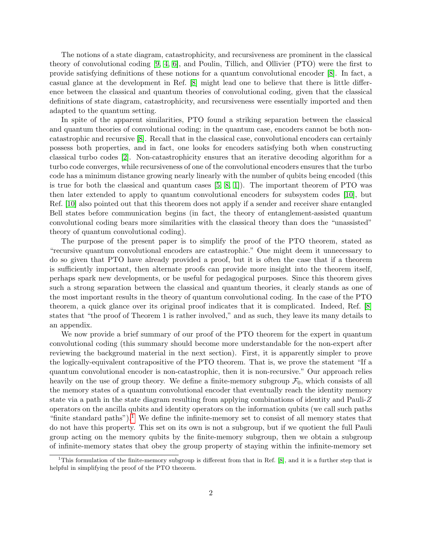The notions of a state diagram, catastrophicity, and recursiveness are prominent in the classical theory of convolutional coding [\[9,](#page-14-2) [4,](#page-14-3) [6\]](#page-14-4), and Poulin, Tillich, and Ollivier (PTO) were the first to provide satisfying definitions of these notions for a quantum convolutional encoder [\[8\]](#page-14-1). In fact, a casual glance at the development in Ref. [\[8\]](#page-14-1) might lead one to believe that there is little difference between the classical and quantum theories of convolutional coding, given that the classical definitions of state diagram, catastrophicity, and recursiveness were essentially imported and then adapted to the quantum setting.

In spite of the apparent similarities, PTO found a striking separation between the classical and quantum theories of convolutional coding: in the quantum case, encoders cannot be both noncatastrophic and recursive [\[8\]](#page-14-1). Recall that in the classical case, convolutional encoders can certainly possess both properties, and in fact, one looks for encoders satisfying both when constructing classical turbo codes [\[2\]](#page-14-5). Non-catastrophicity ensures that an iterative decoding algorithm for a turbo code converges, while recursiveness of one of the convolutional encoders ensures that the turbo code has a minimum distance growing nearly linearly with the number of qubits being encoded (this is true for both the classical and quantum cases  $[5, 8, 1]$  $[5, 8, 1]$  $[5, 8, 1]$ . The important theorem of PTO was then later extended to apply to quantum convolutional encoders for subsystem codes [\[10\]](#page-14-8), but Ref. [\[10\]](#page-14-8) also pointed out that this theorem does not apply if a sender and receiver share entangled Bell states before communication begins (in fact, the theory of entanglement-assisted quantum convolutional coding bears more similarities with the classical theory than does the "unassisted" theory of quantum convolutional coding).

The purpose of the present paper is to simplify the proof of the PTO theorem, stated as "recursive quantum convolutional encoders are catastrophic." One might deem it unnecessary to do so given that PTO have already provided a proof, but it is often the case that if a theorem is sufficiently important, then alternate proofs can provide more insight into the theorem itself, perhaps spark new developments, or be useful for pedagogical purposes. Since this theorem gives such a strong separation between the classical and quantum theories, it clearly stands as one of the most important results in the theory of quantum convolutional coding. In the case of the PTO theorem, a quick glance over its original proof indicates that it is complicated. Indeed, Ref. [\[8\]](#page-14-1) states that "the proof of Theorem 1 is rather involved," and as such, they leave its many details to an appendix.

We now provide a brief summary of our proof of the PTO theorem for the expert in quantum convolutional coding (this summary should become more understandable for the non-expert after reviewing the background material in the next section). First, it is apparently simpler to prove the logically-equivalent contrapositive of the PTO theorem. That is, we prove the statement "If a quantum convolutional encoder is non-catastrophic, then it is non-recursive." Our approach relies heavily on the use of group theory. We define a finite-memory subgroup  $\mathcal{F}_0$ , which consists of all the memory states of a quantum convolutional encoder that eventually reach the identity memory state via a path in the state diagram resulting from applying combinations of identity and Pauli-Z operators on the ancilla qubits and identity operators on the information qubits (we call such paths "finite standard paths").<sup>[1](#page-2-0)</sup> We define the infinite-memory set to consist of all memory states that do not have this property. This set on its own is not a subgroup, but if we quotient the full Pauli group acting on the memory qubits by the finite-memory subgroup, then we obtain a subgroup of infinite-memory states that obey the group property of staying within the infinite-memory set

<span id="page-2-0"></span><sup>1</sup>This formulation of the finite-memory subgroup is different from that in Ref. [\[8\]](#page-14-1), and it is a further step that is helpful in simplifying the proof of the PTO theorem.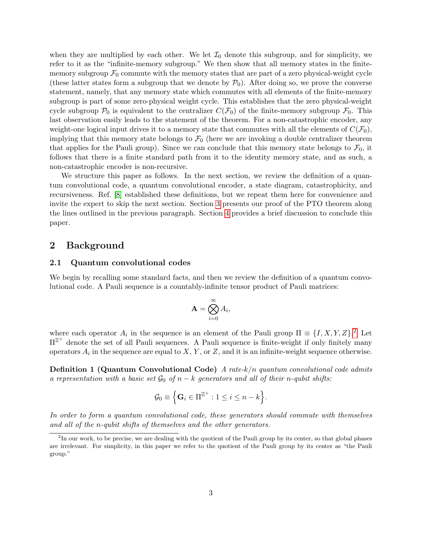when they are multiplied by each other. We let  $\mathcal{I}_0$  denote this subgroup, and for simplicity, we refer to it as the "infinite-memory subgroup." We then show that all memory states in the finitememory subgroup  $\mathcal{F}_0$  commute with the memory states that are part of a zero physical-weight cycle (these latter states form a subgroup that we denote by  $P_0$ ). After doing so, we prove the converse statement, namely, that any memory state which commutes with all elements of the finite-memory subgroup is part of some zero-physical weight cycle. This establishes that the zero physical-weight cycle subgroup  $P_0$  is equivalent to the centralizer  $C(\mathcal{F}_0)$  of the finite-memory subgroup  $\mathcal{F}_0$ . This last observation easily leads to the statement of the theorem. For a non-catastrophic encoder, any weight-one logical input drives it to a memory state that commutes with all the elements of  $C(\mathcal{F}_0)$ , implying that this memory state belongs to  $\mathcal{F}_0$  (here we are invoking a double centralizer theorem that applies for the Pauli group). Since we can conclude that this memory state belongs to  $\mathcal{F}_0$ , it follows that there is a finite standard path from it to the identity memory state, and as such, a non-catastrophic encoder is non-recursive.

We structure this paper as follows. In the next section, we review the definition of a quantum convolutional code, a quantum convolutional encoder, a state diagram, catastrophicity, and recursiveness. Ref. [\[8\]](#page-14-1) established these definitions, but we repeat them here for convenience and invite the expert to skip the next section. Section [3](#page-7-0) presents our proof of the PTO theorem along the lines outlined in the previous paragraph. Section [4](#page-13-0) provides a brief discussion to conclude this paper.

## 2 Background

#### 2.1 Quantum convolutional codes

We begin by recalling some standard facts, and then we review the definition of a quantum convolutional code. A Pauli sequence is a countably-infinite tensor product of Pauli matrices:

$$
\mathbf{A} = \bigotimes_{i=0}^{\infty} A_i,
$$

where each operator  $A_i$  in the sequence is an element of the Pauli group  $\Pi \equiv \{I, X, Y, Z\}$ .<sup>[2](#page-3-0)</sup> Let  $\Pi^{\mathbb{Z}^+}$  denote the set of all Pauli sequences. A Pauli sequence is finite-weight if only finitely many operators  $A_i$  in the sequence are equal to  $X, Y$ , or  $Z$ , and it is an infinite-weight sequence otherwise.

**Definition 1 (Quantum Convolutional Code)** A rate- $k/n$  quantum convolutional code admits a representation with a basic set  $\mathcal{G}_0$  of  $n - k$  generators and all of their n-qubit shifts:

$$
\mathcal{G}_0 \equiv \Big\{ \mathbf{G}_i \in \Pi^{\mathbb{Z}^+} : 1 \leq i \leq n-k \Big\}.
$$

In order to form a quantum convolutional code, these generators should commute with themselves and all of the n-qubit shifts of themselves and the other generators.

<span id="page-3-0"></span><sup>&</sup>lt;sup>2</sup>In our work, to be precise, we are dealing with the quotient of the Pauli group by its center, so that global phases are irrelevant. For simplicity, in this paper we refer to the quotient of the Pauli group by its center as "the Pauli group."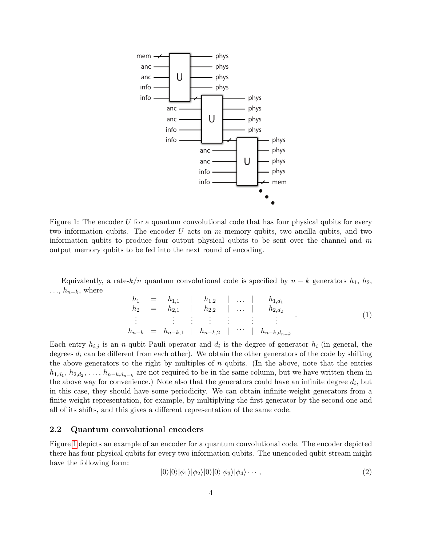

<span id="page-4-0"></span>Figure 1: The encoder U for a quantum convolutional code that has four physical qubits for every two information qubits. The encoder U acts on  $m$  memory qubits, two ancilla qubits, and two information qubits to produce four output physical qubits to be sent over the channel and  $m$ output memory qubits to be fed into the next round of encoding.

Equivalently, a rate- $k/n$  quantum convolutional code is specified by  $n - k$  generators  $h_1$ ,  $h_2$ ,  $\ldots, h_{n-k}$ , where

<span id="page-4-1"></span>
$$
h_1 = h_{1,1} \mid h_{1,2} \mid \dots \mid h_{1,d_1} h_2 = h_{2,1} \mid h_{2,2} \mid \dots \mid h_{2,d_2} \n\vdots \qquad \vdots \qquad \vdots \qquad \vdots \qquad \vdots \qquad \vdots h_{n-k} = h_{n-k,1} \mid h_{n-k,2} \mid \dots \mid h_{n-k,d_{n-k}}
$$
\n(1)

Each entry  $h_{i,j}$  is an *n*-qubit Pauli operator and  $d_i$  is the degree of generator  $h_i$  (in general, the degrees  $d_i$  can be different from each other). We obtain the other generators of the code by shifting the above generators to the right by multiples of  $n$  qubits. (In the above, note that the entries  $h_{1,d_1}, h_{2,d_2}, \ldots, h_{n-k,d_{n-k}}$  are not required to be in the same column, but we have written them in the above way for convenience.) Note also that the generators could have an infinite degree  $d_i$ , but in this case, they should have some periodicity. We can obtain infinite-weight generators from a finite-weight representation, for example, by multiplying the first generator by the second one and all of its shifts, and this gives a different representation of the same code.

#### 2.2 Quantum convolutional encoders

Figure [1](#page-4-0) depicts an example of an encoder for a quantum convolutional code. The encoder depicted there has four physical qubits for every two information qubits. The unencoded qubit stream might have the following form:

$$
|0\rangle|0\rangle|\phi_{1}\rangle|\phi_{2}\rangle|0\rangle|0\rangle|\phi_{3}\rangle|\phi_{4}\rangle\cdots,
$$
\n(2)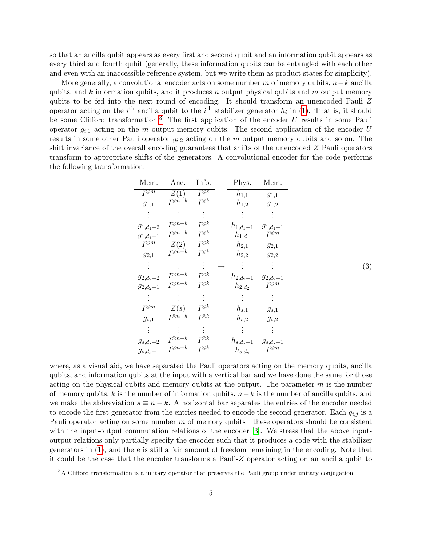so that an ancilla qubit appears as every first and second qubit and an information qubit appears as every third and fourth qubit (generally, these information qubits can be entangled with each other and even with an inaccessible reference system, but we write them as product states for simplicity).

More generally, a convolutional encoder acts on some number m of memory qubits,  $n-k$  ancilla qubits, and k information qubits, and it produces n output physical qubits and m output memory qubits to be fed into the next round of encoding. It should transform an unencoded Pauli Z operator acting on the  $i<sup>th</sup>$  ancilla qubit to the  $i<sup>th</sup>$  stabilizer generator  $h_i$  in [\(1\)](#page-4-1). That is, it should be some Clifford transformation.<sup>[3](#page-5-0)</sup> The first application of the encoder  $U$  results in some Pauli operator  $g_{i,1}$  acting on the m output memory qubits. The second application of the encoder U results in some other Pauli operator  $g_{i,2}$  acting on the m output memory qubits and so on. The shift invariance of the overall encoding guarantees that shifts of the unencoded Z Pauli operators transform to appropriate shifts of the generators. A convolutional encoder for the code performs the following transformation:

| Mem.                       | Anc.              | Info.                       |               | Phys.                   | Mem.                  |
|----------------------------|-------------------|-----------------------------|---------------|-------------------------|-----------------------|
| $\overline{I^{\otimes m}}$ | Z(1)              | $\bar{I}^{\otimes \bar{k}}$ |               | $h_{1,1}$               | $g_{1,1}$             |
| $g_{1,1}$                  | $I^{\otimes n-k}$ | $I^{\otimes k}$             |               | $h_{1,2}$               | $g_{1,2}$             |
|                            |                   |                             |               |                         |                       |
| $g_{1,d_1-2}$              | $I^{\otimes n-k}$ | $I^{\otimes k}$             |               | $h_{1,d_1-1}$           | $g_{1,d_1-1}$         |
| $g_{1, d_1 - 1}$           | $I^{\otimes n-k}$ | $I^{\otimes k}$             |               | $h_{1,\underline{d_1}}$ | $I^{\otimes m}$       |
| $\bar{I}^{\otimes m}$      | Z(2)              | $\bar{I}^{\otimes k}$       |               | $h_{2,1}$               | $g_{2,1}$             |
| $g_{2,1}$                  | $I^{\otimes n-k}$ | $I^{\otimes k}$             |               | $h_{2,2}$               | $g_{2,2}$             |
|                            |                   |                             | $\rightarrow$ |                         |                       |
| $g_{2,d_2-2}$              | $I^{\otimes n-k}$ | $I^{\otimes k}$             |               | $h_{2,d_2-1}$           | $g_{2,d_2-1}$         |
| $g_{2,d_2-1}$              | $I^{\otimes n-k}$ | $I^{\otimes k}$             |               | $h_{2,\underline{d_2}}$ | $I^{\bar{\otimes m}}$ |
|                            |                   |                             |               |                         |                       |
| $\overline{I^{\otimes m}}$ | Z(s)              | $\overline{I^{\otimes k}}$  |               | $h_{s,1}$               | $g_{s,1}$             |
| $g_{s,1}$                  | $I^{\otimes n-k}$ | $I^{\otimes k}$             |               | $h_{s,2}$               | $g_{s,2}$             |
| $\bullet$                  |                   |                             |               |                         |                       |
| $g_{s,d_s-2}$              | $I^{\otimes n-k}$ | $I^{\otimes k}$             |               | $h_{s,d_s-1}$           | $g_{s,d_s-1}$         |
| $g_{s,d_s-1}$              | $I^{\otimes n-k}$ | $I^{\otimes k}$             |               | $h_{s,d_s}$             | $I^{\otimes m}$       |

where, as a visual aid, we have separated the Pauli operators acting on the memory qubits, ancilla qubits, and information qubits at the input with a vertical bar and we have done the same for those acting on the physical qubits and memory qubits at the output. The parameter  $m$  is the number of memory qubits, k is the number of information qubits,  $n-k$  is the number of ancilla qubits, and we make the abbreviation  $s \equiv n - k$ . A horizontal bar separates the entries of the encoder needed to encode the first generator from the entries needed to encode the second generator. Each  $g_{i,j}$  is a Pauli operator acting on some number  $m$  of memory qubits—these operators should be consistent with the input-output commutation relations of the encoder [\[3\]](#page-14-9). We stress that the above inputoutput relations only partially specify the encoder such that it produces a code with the stabilizer generators in [\(1\)](#page-4-1), and there is still a fair amount of freedom remaining in the encoding. Note that it could be the case that the encoder transforms a Pauli-Z operator acting on an ancilla qubit to

<span id="page-5-0"></span><sup>&</sup>lt;sup>3</sup>A Clifford transformation is a unitary operator that preserves the Pauli group under unitary conjugation.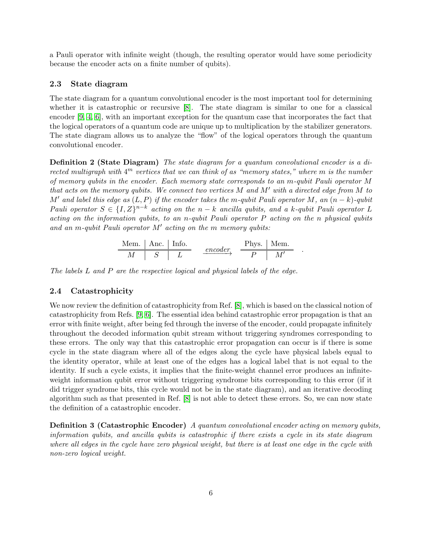a Pauli operator with infinite weight (though, the resulting operator would have some periodicity because the encoder acts on a finite number of qubits).

#### 2.3 State diagram

The state diagram for a quantum convolutional encoder is the most important tool for determining whether it is catastrophic or recursive [\[8\]](#page-14-1). The state diagram is similar to one for a classical encoder [\[9,](#page-14-2) [4,](#page-14-3) [6\]](#page-14-4), with an important exception for the quantum case that incorporates the fact that the logical operators of a quantum code are unique up to multiplication by the stabilizer generators. The state diagram allows us to analyze the "flow" of the logical operators through the quantum convolutional encoder.

Definition 2 (State Diagram) The state diagram for a quantum convolutional encoder is a directed multigraph with  $4^m$  vertices that we can think of as "memory states," where m is the number of memory qubits in the encoder. Each memory state corresponds to an m-qubit Pauli operator M that acts on the memory qubits. We connect two vertices  $M$  and  $M'$  with a directed edge from  $M$  to M' and label this edge as  $(L, P)$  if the encoder takes the m-qubit Pauli operator M, an  $(n - k)$ -qubit Pauli operator  $S \in \{I, Z\}^{n-k}$  acting on the  $n-k$  ancilla qubits, and a k-qubit Pauli operator L acting on the information qubits, to an n-qubit Pauli operator  $P$  acting on the n physical qubits and an m-qubit Pauli operator  $M'$  acting on the m memory qubits:

$$
\begin{array}{c|c|c}\n\text{Mem.} & \text{Anc.} & \text{Info.} \\
\hline\nM & S & L\n\end{array}\n\quad\n\begin{array}{c|c}\n\text{encoder} & \text{Phys.} & \text{Mem.} \\
\hline\nP & M'\n\end{array}
$$

.

The labels L and P are the respective logical and physical labels of the edge.

#### 2.4 Catastrophicity

We now review the definition of catastrophicity from Ref. [\[8\]](#page-14-1), which is based on the classical notion of catastrophicity from Refs. [\[9,](#page-14-2) [6\]](#page-14-4). The essential idea behind catastrophic error propagation is that an error with finite weight, after being fed through the inverse of the encoder, could propagate infinitely throughout the decoded information qubit stream without triggering syndromes corresponding to these errors. The only way that this catastrophic error propagation can occur is if there is some cycle in the state diagram where all of the edges along the cycle have physical labels equal to the identity operator, while at least one of the edges has a logical label that is not equal to the identity. If such a cycle exists, it implies that the finite-weight channel error produces an infiniteweight information qubit error without triggering syndrome bits corresponding to this error (if it did trigger syndrome bits, this cycle would not be in the state diagram), and an iterative decoding algorithm such as that presented in Ref. [\[8\]](#page-14-1) is not able to detect these errors. So, we can now state the definition of a catastrophic encoder.

**Definition 3 (Catastrophic Encoder)** A quantum convolutional encoder acting on memory qubits, information qubits, and ancilla qubits is catastrophic if there exists a cycle in its state diagram where all edges in the cycle have zero physical weight, but there is at least one edge in the cycle with non-zero logical weight.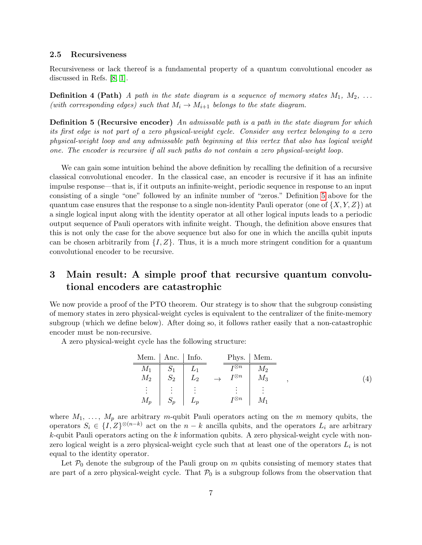#### 2.5 Recursiveness

Recursiveness or lack thereof is a fundamental property of a quantum convolutional encoder as discussed in Refs. [\[8,](#page-14-1) [1\]](#page-14-7).

**Definition 4 (Path)** A path in the state diagram is a sequence of memory states  $M_1, M_2, \ldots$ (with corresponding edges) such that  $M_i \rightarrow M_{i+1}$  belongs to the state diagram.

<span id="page-7-1"></span>**Definition 5 (Recursive encoder)** An admissable path is a path in the state diagram for which its first edge is not part of a zero physical-weight cycle. Consider any vertex belonging to a zero physical-weight loop and any admissable path beginning at this vertex that also has logical weight one. The encoder is recursive if all such paths do not contain a zero physical-weight loop.

We can gain some intuition behind the above definition by recalling the definition of a recursive classical convolutional encoder. In the classical case, an encoder is recursive if it has an infinite impulse response—that is, if it outputs an infinite-weight, periodic sequence in response to an input consisting of a single "one" followed by an infinite number of "zeros." Definition [5](#page-7-1) above for the quantum case ensures that the response to a single non-identity Pauli operator (one of  $\{X, Y, Z\}$ ) at a single logical input along with the identity operator at all other logical inputs leads to a periodic output sequence of Pauli operators with infinite weight. Though, the definition above ensures that this is not only the case for the above sequence but also for one in which the ancilla qubit inputs can be chosen arbitrarily from  $\{I, Z\}$ . Thus, it is a much more stringent condition for a quantum convolutional encoder to be recursive.

## <span id="page-7-0"></span>3 Main result: A simple proof that recursive quantum convolutional encoders are catastrophic

We now provide a proof of the PTO theorem. Our strategy is to show that the subgroup consisting of memory states in zero physical-weight cycles is equivalent to the centralizer of the finite-memory subgroup (which we define below). After doing so, it follows rather easily that a non-catastrophic encoder must be non-recursive.

A zero physical-weight cycle has the following structure:

<span id="page-7-2"></span>

| Mem.   Anc.   Info. |           |           |                                   | Phys.   Mem. |  |     |
|---------------------|-----------|-----------|-----------------------------------|--------------|--|-----|
| $M_1$               |           |           | $\overline{\tau\otimes n}$        | $M_2$        |  |     |
| $M_2$               | $S_2$     | $L_2$     | $\overline{I} \otimes n$          | $M_3$        |  | ۰4, |
| $\vdots$            | $\bullet$ | $\bullet$ | $\bullet$<br>$\ddot{\phantom{a}}$ |              |  |     |
| $M_p$               | $S_n$     | $L_p$     | $I^{\otimes n}$                   | $M_1$        |  |     |

where  $M_1, \ldots, M_p$  are arbitrary m-qubit Pauli operators acting on the m memory qubits, the operators  $S_i \in \{I, Z\}^{\otimes (n-k)}$  act on the  $n-k$  ancilla qubits, and the operators  $L_i$  are arbitrary  $k$ -qubit Pauli operators acting on the k information qubits. A zero physical-weight cycle with nonzero logical weight is a zero physical-weight cycle such that at least one of the operators  $L_i$  is not equal to the identity operator.

Let  $P_0$  denote the subgroup of the Pauli group on m qubits consisting of memory states that are part of a zero physical-weight cycle. That  $P_0$  is a subgroup follows from the observation that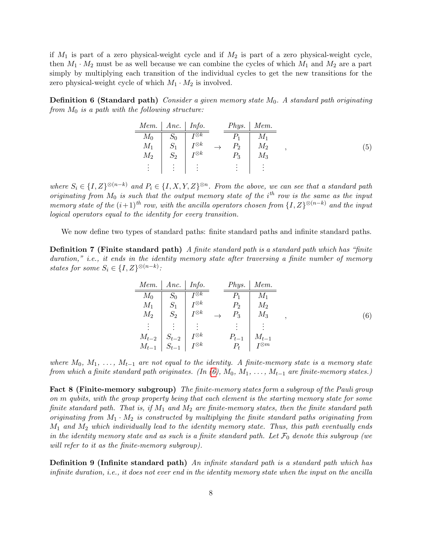if  $M_1$  is part of a zero physical-weight cycle and if  $M_2$  is part of a zero physical-weight cycle, then  $M_1 \cdot M_2$  must be as well because we can combine the cycles of which  $M_1$  and  $M_2$  are a part simply by multiplying each transition of the individual cycles to get the new transitions for the zero physical-weight cycle of which  $M_1 \cdot M_2$  is involved.

**Definition 6 (Standard path)** Consider a given memory state  $M_0$ . A standard path originating from  $M_0$  is a path with the following structure:

| Mem.                              | Anc.            | Info.                                  | Phys.          | Mem.      |          |
|-----------------------------------|-----------------|----------------------------------------|----------------|-----------|----------|
| $M_0$                             | $\mathcal{D}0$  | $\boldsymbol{\scriptstyle I\otimes k}$ |                |           |          |
| $M_{1}$                           |                 | $I^{\otimes k}$                        | P <sub>2</sub> | $M_2$     | $\sigma$ |
| $\ M_2$                           | $\mathcal{D}_2$ | $I^{\otimes k}$                        | $P_3$          | $\ M_{3}$ |          |
| $\bullet$<br>$\bullet$<br>$\cdot$ | $\cdot$         |                                        | ٠              |           |          |

where  $S_i \in \{I, Z\}^{\otimes (n-k)}$  and  $P_i \in \{I, X, Y, Z\}^{\otimes n}$ . From the above, we can see that a standard path originating from  $M_0$  is such that the output memory state of the i<sup>th</sup> row is the same as the input memory state of the  $(i+1)$ <sup>th</sup> row, with the ancilla operators chosen from  $\{I, Z\}^{\otimes (n-k)}$  and the input logical operators equal to the identity for every transition.

We now define two types of standard paths: finite standard paths and infinite standard paths.

**Definition 7 (Finite standard path)** A finite standard path is a standard path which has "finite duration," i.e., it ends in the identity memory state after traversing a finite number of memory states for some  $S_i \in \{I, Z\}^{\otimes (n-k)}$ :

<span id="page-8-0"></span>
$$
\begin{array}{c|c}\n\text{Mem.} & \text{Anc.} & \text{Info.} \\
\hline\nM_0 & S_0 & I^{\otimes k} \\
M_1 & S_1 & I^{\otimes k} \\
M_2 & S_2 & I^{\otimes k} \\
\vdots & \vdots & \vdots \\
M_{t-2} & S_{t-2} & I^{\otimes k} \\
M_{t-1} & S_{t-1} & I^{\otimes k} \\
\end{array} \rightarrow \begin{array}{c|c}\n\text{Phys.} & \text{Mem.} \\
\hline\nP_1 & M_1 \\
P_2 & M_2 \\
M_3 & \end{array},
$$
\n(6)

where  $M_0, M_1, \ldots, M_{t-1}$  are not equal to the identity. A finite-memory state is a memory state from which a finite standard path originates. (In  $(6)$ ,  $M_0$ ,  $M_1$ , ...,  $M_{t-1}$  are finite-memory states.)

<span id="page-8-1"></span>Fact 8 (Finite-memory subgroup) The finite-memory states form a subgroup of the Pauli group on m qubits, with the group property being that each element is the starting memory state for some finite standard path. That is, if  $M_1$  and  $M_2$  are finite-memory states, then the finite standard path originating from  $M_1 \cdot M_2$  is constructed by multiplying the finite standard paths originating from  $M_1$  and  $M_2$  which individually lead to the identity memory state. Thus, this path eventually ends in the identity memory state and as such is a finite standard path. Let  $\mathcal{F}_0$  denote this subgroup (we will refer to it as the finite-memory subgroup).

**Definition 9 (Infinite standard path)** An infinite standard path is a standard path which has infinite duration, i.e., it does not ever end in the identity memory state when the input on the ancilla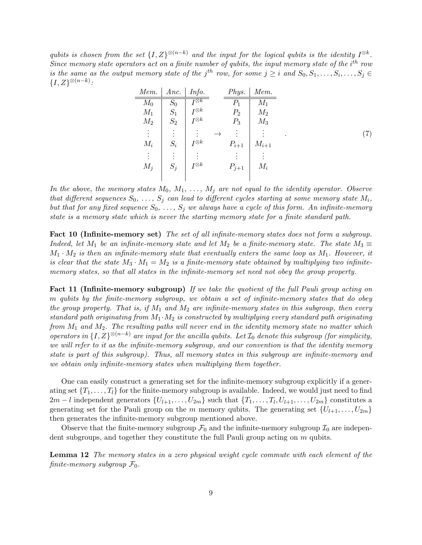qubits is chosen from the set  $\{I, Z\}^{\otimes (n-k)}$  and the input for the logical qubits is the identity  $I^{\otimes k}$ . Since memory state operators act on a finite number of qubits, the input memory state of the  $i^{th}$  row is the same as the output memory state of the j<sup>th</sup> row, for some  $j \geq i$  and  $S_0, S_1, \ldots, S_i, \ldots, S_j \in$  ${I, Z\}^{\otimes (n-k)}$ :

| Mem.  | Anc.  | Info.           |               | Phys.     | Mem.      |
|-------|-------|-----------------|---------------|-----------|-----------|
| $M_0$ | $S_0$ | $I^{\otimes k}$ |               | $P_1$     | $M_1$     |
| $M_1$ | $S_1$ | $I^{\otimes k}$ |               | $P_2$     | $M_2$     |
| $M_2$ | $S_2$ | $I^{\otimes k}$ |               | $P_3$     | $M_3$     |
| ÷     |       |                 | $\rightarrow$ |           |           |
| $M_i$ | $S_i$ | $I^{\otimes k}$ |               | $P_{i+1}$ | $M_{i+1}$ |
| ÷     |       |                 |               |           |           |
| $M_j$ | $S_j$ | $I^{\otimes k}$ |               | $P_{j+1}$ | $M_i$     |
|       |       |                 |               |           |           |

In the above, the memory states  $M_0, M_1, \ldots, M_j$  are not equal to the identity operator. Observe that different sequences  $S_0, \ldots, S_j$  can lead to different cycles starting at some memory state  $M_i$ , but that for any fixed sequence  $S_0, \ldots, S_j$  we always have a cycle of this form. An infinite-memory state is a memory state which is never the starting memory state for a finite standard path.

Fact 10 (Infinite-memory set) The set of all infinite-memory states does not form a subgroup. Indeed, let M<sub>1</sub> be an infinite-memory state and let M<sub>2</sub> be a finite-memory state. The state  $M_3 \equiv$  $M_1 \cdot M_2$  is then an infinite-memory state that eventually enters the same loop as  $M_1$ . However, it is clear that the state  $M_3 \cdot M_1 = M_2$  is a finite-memory state obtained by multiplying two infinitememory states, so that all states in the infinite-memory set need not obey the group property.

Fact 11 (Infinite-memory subgroup) If we take the quotient of the full Pauli group acting on m qubits by the finite-memory subgroup, we obtain a set of infinite-memory states that do obey the group property. That is, if  $M_1$  and  $M_2$  are infinite-memory states in this subgroup, then every standard path originating from  $M_1 \cdot M_2$  is constructed by multiplying every standard path originating from  $M_1$  and  $M_2$ . The resulting paths will never end in the identity memory state no matter which operators in  $\{I, Z\}^{\otimes (n-k)}$  are input for the ancilla qubits. Let  $\mathcal{I}_0$  denote this subgroup (for simplicity, we will refer to it as the infinite-memory subgroup, and our convention is that the identity memory state is part of this subgroup). Thus, all memory states in this subgroup are infinite-memory and we obtain only infinite-memory states when multiplying them together.

One can easily construct a generating set for the infinite-memory subgroup explicitly if a generating set  $\{T_1, \ldots, T_l\}$  for the finite-memory subgroup is available. Indeed, we would just need to find  $2m-l$  independent generators  $\{U_{l+1},\ldots,U_{2m}\}$  such that  $\{T_1,\ldots,T_l,U_{l+1},\ldots,U_{2m}\}$  constitutes a generating set for the Pauli group on the m memory qubits. The generating set  $\{U_{l+1}, \ldots, U_{2m}\}$ then generates the infinite-memory subgroup mentioned above.

Observe that the finite-memory subgroup  $\mathcal{F}_0$  and the infinite-memory subgroup  $\mathcal{I}_0$  are independent subgroups, and together they constitute the full Pauli group acting on m qubits.

<span id="page-9-0"></span>Lemma 12 The memory states in a zero physical weight cycle commute with each element of the finite-memory subgroup  $\mathcal{F}_0$ .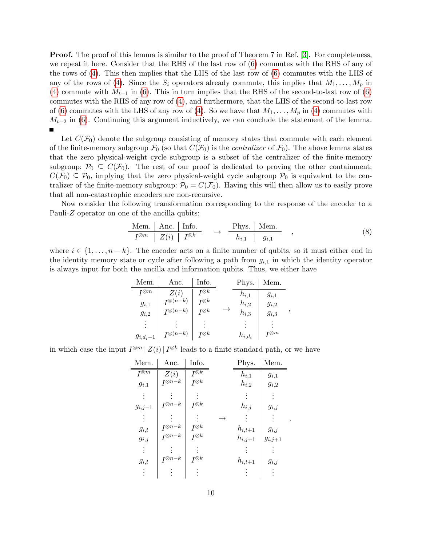**Proof.** The proof of this lemma is similar to the proof of Theorem 7 in Ref. [\[3\]](#page-14-9). For completeness, we repeat it here. Consider that the RHS of the last row of [\(6\)](#page-8-0) commutes with the RHS of any of the rows of [\(4\)](#page-7-2). This then implies that the LHS of the last row of [\(6\)](#page-8-0) commutes with the LHS of any of the rows of [\(4\)](#page-7-2). Since the  $S_i$  operators already commute, this implies that  $M_1, \ldots, M_p$  in [\(4\)](#page-7-2) commute with  $M_{t-1}$  in [\(6\)](#page-8-0). This in turn implies that the RHS of the second-to-last row of (6) commutes with the RHS of any row of [\(4\)](#page-7-2), and furthermore, that the LHS of the second-to-last row of [\(6\)](#page-8-0) commutes with the LHS of any row of [\(4\)](#page-7-2). So we have that  $M_1, \ldots, M_p$  in (4) commutes with  $M_{t-2}$  in [\(6\)](#page-8-0). Continuing this argument inductively, we can conclude the statement of the lemma.  $\blacksquare$ 

Let  $C(\mathcal{F}_0)$  denote the subgroup consisting of memory states that commute with each element of the finite-memory subgroup  $\mathcal{F}_0$  (so that  $C(\mathcal{F}_0)$  is the *centralizer* of  $\mathcal{F}_0$ ). The above lemma states that the zero physical-weight cycle subgroup is a subset of the centralizer of the finite-memory subgroup:  $\mathcal{P}_0 \subseteq C(\mathcal{F}_0)$ . The rest of our proof is dedicated to proving the other containment:  $C(\mathcal{F}_0) \subseteq \mathcal{P}_0$ , implying that the zero physical-weight cycle subgroup  $\mathcal{P}_0$  is equivalent to the centralizer of the finite-memory subgroup:  $P_0 = C(\mathcal{F}_0)$ . Having this will then allow us to easily prove that all non-catastrophic encoders are non-recursive.

Now consider the following transformation corresponding to the response of the encoder to a Pauli-Z operator on one of the ancilla qubits:

<span id="page-10-0"></span>
$$
\frac{\text{Mem.} \mid \text{Anc.} \mid \text{Info.}}{I^{\otimes m} \mid Z(i) \mid I^{\otimes k}} \rightarrow \frac{\text{Phys.} \mid \text{Mem.}}{h_{i,1} \mid g_{i,1}} , \qquad (8)
$$

,

where  $i \in \{1, \ldots, n-k\}$ . The encoder acts on a finite number of qubits, so it must either end in the identity memory state or cycle after following a path from  $g_{i,1}$  in which the identity operator is always input for both the ancilla and information qubits. Thus, we either have

| Mem.                         | Anc.                | Info.                                    | Phys.       | Mem.                         |
|------------------------------|---------------------|------------------------------------------|-------------|------------------------------|
| $\mathcal{T}^{\bigotimes m}$ | Z(i)                | $\boldsymbol{\scriptstyle I\otimes k}$   | $h_{i,1}$   | $g_{i,1}$                    |
| $g_{i,1}$                    | $I^{\otimes (n-k)}$ | $\boldsymbol{\mathsf{I}}^{\bigotimes k}$ | $h_{i,2}$   | $g_{i,2}$                    |
| $g_{i,2}$                    | $I^{\otimes (n-k)}$ | $\boldsymbol{\scriptstyle I\otimes k}$   | $h_{i,3}$   | $g_{i,3}$                    |
| ٠                            |                     |                                          |             |                              |
| $g_{i,d_i-1}$                | $I^{\otimes (n-k)}$ | $\tau\otimes k$                          | $h_{i,d_i}$ | $\mathcal{T}^{\bigotimes m}$ |

in which case the input  $I^{\otimes m} |Z(i)| I^{\otimes k}$  leads to a finite standard path, or we have

| Mem.                       | Anc.              | Info.                      |               | Phys.       | Mem.        |                |
|----------------------------|-------------------|----------------------------|---------------|-------------|-------------|----------------|
| $\overline{I^{\otimes m}}$ | Z(i)              | $\overline{I^{\otimes k}}$ |               | $h_{i,1}$   | $g_{i,1}$   |                |
| $g_{i,1}$                  | $I^{\otimes n-k}$ | $I^{\otimes k}$            |               | $h_{i,2}$   | $g_{i,2}$   |                |
|                            |                   |                            |               |             |             |                |
| $g_{i,j-1}$                | $I^{\otimes n-k}$ | $I^{\otimes k}$            |               | $h_{i,j}$   | $g_{i,j}$   |                |
|                            |                   |                            | $\rightarrow$ |             |             | $\overline{ }$ |
| $g_{i,t}$                  | $I^{\otimes n-k}$ | $I^{\otimes k}$            |               | $h_{i,t+1}$ | $g_{i,j}$   |                |
| $g_{i,j}$                  | $I^{\otimes n-k}$ | $I^{\otimes k}$            |               | $h_{i,j+1}$ | $g_{i,j+1}$ |                |
|                            |                   |                            |               |             |             |                |
| $g_{i,t}$                  | $I^{\otimes n-k}$ | $I^{\otimes k}$            |               | $h_{i,t+1}$ | $g_{i,j}$   |                |
|                            |                   |                            |               |             |             |                |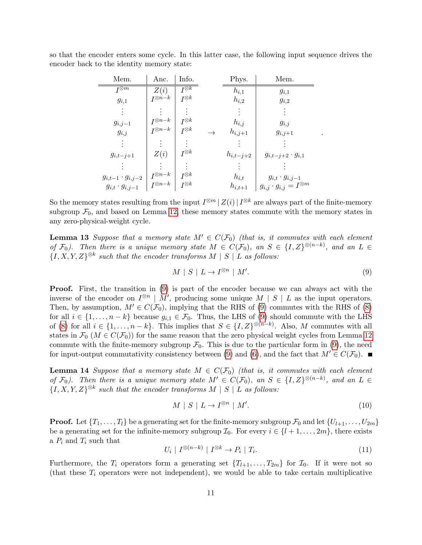so that the encoder enters some cycle. In this latter case, the following input sequence drives the encoder back to the identity memory state:

| Mem.                        | Anc.              | Info.                      | Phys.         | Mem.                                 |
|-----------------------------|-------------------|----------------------------|---------------|--------------------------------------|
| $I^{\otimes m}$             | Z(i)              | $\overline{I^{\otimes k}}$ | $h_{i,1}$     | $g_{i,1}$                            |
| $g_{i,1}$                   | $I^{\otimes n-k}$ | $I^{\otimes k}$            | $h_{i,2}$     | $g_{i,2}$                            |
|                             |                   |                            |               |                                      |
| $g_{i,j-1}$                 | $I^{\otimes n-k}$ | $I^{\otimes k}$            | $h_{i,j}$     | $g_{i,j}$                            |
| $g_{i,j}$                   | $I^{\otimes n-k}$ | $I^{\otimes k}$            | $h_{i,j+1}$   | $g_{i,j+1}$                          |
|                             |                   |                            |               |                                      |
| $g_{i,t-j+1}$               | Z(i)              | $I^{\otimes k}$            | $h_{i,t-j+2}$ | $g_{i,t-j+2} \cdot g_{i,1}$          |
|                             |                   |                            |               |                                      |
| $g_{i,t-1} \cdot g_{i,j-2}$ | $I^{\otimes n-k}$ | $I^{\otimes k}$            | $h_{i,t}$     | $g_{i,t} \cdot g_{i,j-1}$            |
| $g_{i,t} \cdot g_{i,j-1}$   | $I^{\otimes n-k}$ | $I^{\otimes k}$            | $h_{i,t+1}$   | $g_{i,j}\cdot g_{i,j}=I^{\otimes m}$ |

So the memory states resulting from the input  $I^{\otimes m}$  |  $Z(i)$  |  $I^{\otimes k}$  are always part of the finite-memory subgroup  $\mathcal{F}_0$ , and based on Lemma [12,](#page-9-0) these memory states commute with the memory states in any zero-physical-weight cycle.

<span id="page-11-2"></span>**Lemma 13** Suppose that a memory state  $M' \in C(\mathcal{F}_0)$  (that is, it commutes with each element of  $\mathcal{F}_0$ ). Then there is a unique memory state  $M \in C(\mathcal{F}_0)$ , an  $S \in \{I, Z\}^{\otimes (n-k)}$ , and an  $L \in$  $\{I, X, Y, Z\}^{\otimes k}$  such that the encoder transforms  $M \mid S \mid L$  as follows:

<span id="page-11-0"></span>
$$
M \mid S \mid L \to I^{\otimes n} \mid M'. \tag{9}
$$

.

Proof. First, the transition in [\(9\)](#page-11-0) is part of the encoder because we can always act with the inverse of the encoder on  $I^{\otimes n} \mid M'$ , producing some unique  $M \mid S \mid L$  as the input operators. Then, by assumption,  $M' \in C(\mathcal{F}_0)$ , implying that the RHS of [\(9\)](#page-11-0) commutes with the RHS of [\(8\)](#page-10-0) for all  $i \in \{1, \ldots, n-k\}$  because  $g_{i,1} \in \mathcal{F}_0$ . Thus, the LHS of [\(9\)](#page-11-0) should commute with the LHS of [\(8\)](#page-10-0) for all  $i \in \{1, \ldots, n-k\}$ . This implies that  $S \in \{I, Z\}^{\otimes (n-k)}$ . Also, M commutes with all states in  $\mathcal{F}_0$  ( $M \in C(\mathcal{F}_0)$ ) for the same reason that the zero physical weight cycles from Lemma [12](#page-9-0) commute with the finite-memory subgroup  $\mathcal{F}_0$ . This is due to the particular form in [\(9\)](#page-11-0), the need for input-output commutativity consistency between [\(9\)](#page-11-0) and [\(6\)](#page-8-0), and the fact that  $M' \in C(\mathcal{F}_0)$ .

<span id="page-11-4"></span>**Lemma 14** Suppose that a memory state  $M \in C(\mathcal{F}_0)$  (that is, it commutes with each element of  $\mathcal{F}_0$ ). Then there is a unique memory state  $M' \in C(\mathcal{F}_0)$ , an  $S \in \{I, Z\}^{\otimes (n-k)}$ , and an  $L \in$  ${I, X, Y, Z}^{\otimes k}$  such that the encoder transforms  $M \mid S \mid L$  as follows:

<span id="page-11-3"></span>
$$
M \mid S \mid L \to I^{\otimes n} \mid M'. \tag{10}
$$

**Proof.** Let  $\{T_1, \ldots, T_l\}$  be a generating set for the finite-memory subgroup  $\mathcal{F}_0$  and let  $\{U_{l+1}, \ldots, U_{2m}\}$ be a generating set for the infinite-memory subgroup  $\mathcal{I}_0$ . For every  $i \in \{l+1, \ldots, 2m\}$ , there exists a  $P_i$  and  $T_i$  such that

<span id="page-11-1"></span>
$$
U_i \mid I^{\otimes (n-k)} \mid I^{\otimes k} \to P_i \mid T_i. \tag{11}
$$

Furthermore, the  $T_i$  operators form a generating set  $\{T_{l+1}, \ldots, T_{2m}\}\;$  for  $\mathcal{I}_0$ . If it were not so (that these  $T_i$  operators were not independent), we would be able to take certain multiplicative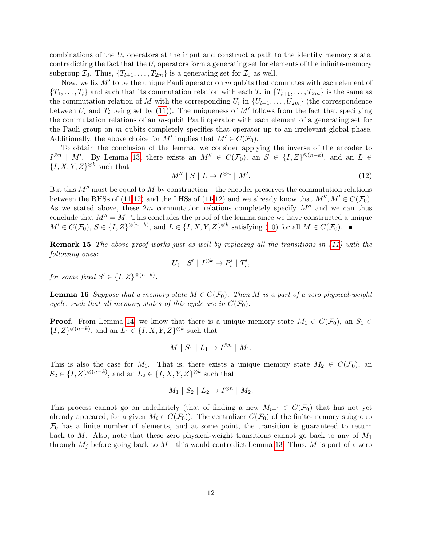combinations of the  $U_i$  operators at the input and construct a path to the identity memory state, contradicting the fact that the  $U_i$  operators form a generating set for elements of the infinite-memory subgroup  $\mathcal{I}_0$ . Thus,  $\{T_{l+1}, \ldots, T_{2m}\}$  is a generating set for  $\mathcal{I}_0$  as well.

Now, we fix  $M'$  to be the unique Pauli operator on m qubits that commutes with each element of  $\{T_1, \ldots, T_l\}$  and such that its commutation relation with each  $T_i$  in  $\{T_{l+1}, \ldots, T_{2m}\}$  is the same as the commutation relation of M with the corresponding  $U_i$  in  $\{U_{l+1}, \ldots, U_{2m}\}$  (the correspondence between  $U_i$  and  $T_i$  being set by [\(11\)](#page-11-1)). The uniqueness of  $M'$  follows from the fact that specifying the commutation relations of an  $m$ -qubit Pauli operator with each element of a generating set for the Pauli group on  $m$  qubits completely specifies that operator up to an irrelevant global phase. Additionally, the above choice for M' implies that  $M' \in C(\mathcal{F}_0)$ .

To obtain the conclusion of the lemma, we consider applying the inverse of the encoder to  $I^{\otimes n}$  | M'. By Lemma [13,](#page-11-2) there exists an  $M'' \in C(\mathcal{F}_0)$ , an  $S \in \{I, Z\}^{\otimes (n-k)}$ , and an  $L \in$  $\{I, X, Y, Z\}^{\otimes k}$  such that

<span id="page-12-0"></span>
$$
M'' \mid S \mid L \to I^{\otimes n} \mid M'. \tag{12}
$$

But this  $M''$  must be equal to M by construction—the encoder preserves the commutation relations between the RHSs of [\(11-](#page-11-1)[12\)](#page-12-0) and the LHSs of (11-12) and we already know that  $M'', M' \in C(\mathcal{F}_0)$ . As we stated above, these  $2m$  commutation relations completely specify  $M''$  and we can thus conclude that  $M'' = M$ . This concludes the proof of the lemma since we have constructed a unique  $M' \in C(\mathcal{F}_0), S \in \{I, Z\}^{\otimes (n-k)}, \text{ and } L \in \{I, X, Y, Z\}^{\otimes k} \text{ satisfying (10) for all } M \in C(\mathcal{F}_0).$  $M' \in C(\mathcal{F}_0), S \in \{I, Z\}^{\otimes (n-k)}, \text{ and } L \in \{I, X, Y, Z\}^{\otimes k} \text{ satisfying (10) for all } M \in C(\mathcal{F}_0).$  $M' \in C(\mathcal{F}_0), S \in \{I, Z\}^{\otimes (n-k)}, \text{ and } L \in \{I, X, Y, Z\}^{\otimes k} \text{ satisfying (10) for all } M \in C(\mathcal{F}_0).$ 

Remark 15 The above proof works just as well by replacing all the transitions in [\(11\)](#page-11-1) with the following ones:

$$
U_i \mid S' \mid I^{\otimes k} \to P'_i \mid T'_i,
$$

for some fixed  $S' \in \{I, Z\}^{\otimes (n-k)}$ .

<span id="page-12-1"></span>**Lemma 16** Suppose that a memory state  $M \in C(\mathcal{F}_0)$ . Then M is a part of a zero physical-weight cycle, such that all memory states of this cycle are in  $C(\mathcal{F}_0)$ .

**Proof.** From Lemma [14,](#page-11-4) we know that there is a unique memory state  $M_1 \in C(\mathcal{F}_0)$ , an  $S_1 \in$  $\{I, Z\}^{\otimes (n-k)}$ , and an  $L_1 \in \{I, X, Y, Z\}^{\otimes k}$  such that

$$
M \mid S_1 \mid L_1 \to I^{\otimes n} \mid M_1,
$$

This is also the case for  $M_1$ . That is, there exists a unique memory state  $M_2 \in C(\mathcal{F}_0)$ , an  $S_2 \in \{I, Z\}^{\otimes (n-k)}$ , and an  $L_2 \in \{I, X, Y, Z\}^{\otimes k}$  such that

$$
M_1 \mid S_2 \mid L_2 \to I^{\otimes n} \mid M_2.
$$

This process cannot go on indefinitely (that of finding a new  $M_{i+1} \in C(\mathcal{F}_0)$  that has not yet already appeared, for a given  $M_i \in C(\mathcal{F}_0)$ . The centralizer  $C(\mathcal{F}_0)$  of the finite-memory subgroup  $\mathcal{F}_0$  has a finite number of elements, and at some point, the transition is guaranteed to return back to M. Also, note that these zero physical-weight transitions cannot go back to any of  $M_1$ through  $M_i$  before going back to M—this would contradict Lemma [13.](#page-11-2) Thus, M is part of a zero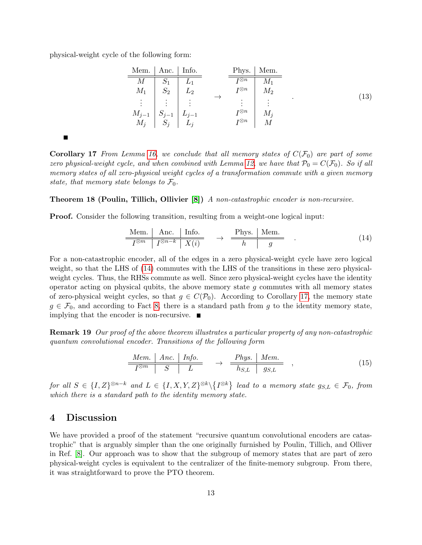physical-weight cycle of the following form:

 $\blacksquare$ 

| Mem.   Anc.   Info. | Phys.   Mem. |           |                 |       |     |
|---------------------|--------------|-----------|-----------------|-------|-----|
| $M$                 | $S_1$        | $L_1$     | $T^{\otimes n}$ | $M_1$ |     |
| $M_1$               | $S_2$        | $L_2$     | $I^{\otimes n}$ | $M_2$ |     |
| ...                 | ...          | ...       | ...             | ...   | ... |
| $M_{j-1}$           | $S_{j-1}$    | $L_{j-1}$ | $I^{\otimes n}$ | $M_j$ |     |
| $M_j$               | $S_j$        | $L_j$     | $I^{\otimes n}$ | $M_j$ |     |

\n(13)

<span id="page-13-2"></span>**Corollary 17** From Lemma [16,](#page-12-1) we conclude that all memory states of  $C(\mathcal{F}_0)$  are part of some zero physical-weight cycle, and when combined with Lemma [12,](#page-9-0) we have that  $P_0 = C(\mathcal{F}_0)$ . So if all memory states of all zero-physical weight cycles of a transformation commute with a given memory state, that memory state belongs to  $\mathcal{F}_0$ .

#### <span id="page-13-3"></span>Theorem 18 (Poulin, Tillich, Ollivier [\[8\]](#page-14-1)) A non-catastrophic encoder is non-recursive.

Proof. Consider the following transition, resulting from a weight-one logical input:

<span id="page-13-1"></span>
$$
\frac{\text{Mem.} \mid \text{ Anc.} \mid \text{Info.}}{I^{\otimes m} \mid I^{\otimes n-k} \mid X(i)} \rightarrow \frac{\text{Phys.} \mid \text{Mem.}}{h \mid g} \quad . \tag{14}
$$

For a non-catastrophic encoder, all of the edges in a zero physical-weight cycle have zero logical weight, so that the LHS of [\(14\)](#page-13-1) commutes with the LHS of the transitions in these zero physicalweight cycles. Thus, the RHSs commute as well. Since zero physical-weight cycles have the identity operator acting on physical qubits, the above memory state  $g$  commutes with all memory states of zero-physical weight cycles, so that  $g \in C(\mathcal{P}_0)$ . According to Corollary [17,](#page-13-2) the memory state  $g \in \mathcal{F}_0$ , and according to Fact [8,](#page-8-1) there is a standard path from g to the identity memory state, implying that the encoder is non-recursive.

Remark 19 Our proof of the above theorem illustrates a particular property of any non-catastrophic quantum convolutional encoder. Transitions of the following form

$$
\frac{Mem. \mid Anc. \mid Info.}{I^{\otimes m} \mid S \mid L} \rightarrow \frac{Phys. \mid Mem.}{h_{S,L} \mid g_{S,L}} , \qquad (15)
$$

for all  $S \in \{I, Z\}^{\otimes n-k}$  and  $L \in \{I, X, Y, Z\}^{\otimes k} \backslash \{I^{\otimes k}\}\$ lead to a memory state  $g_{S,L} \in \mathcal{F}_0$ , from which there is a standard path to the identity memory state.

## <span id="page-13-0"></span>4 Discussion

We have provided a proof of the statement "recursive quantum convolutional encoders are catastrophic" that is arguably simpler than the one originally furnished by Poulin, Tillich, and Olliver in Ref. [\[8\]](#page-14-1). Our approach was to show that the subgroup of memory states that are part of zero physical-weight cycles is equivalent to the centralizer of the finite-memory subgroup. From there, it was straightforward to prove the PTO theorem.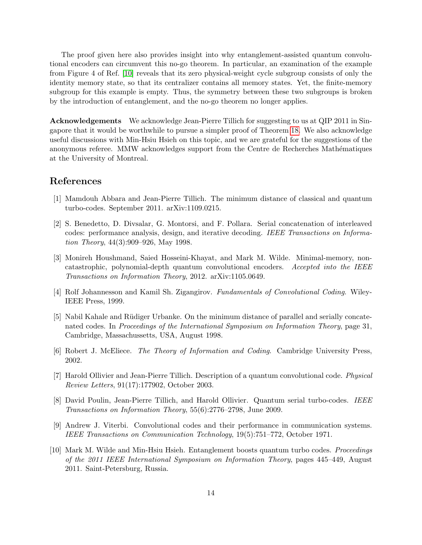The proof given here also provides insight into why entanglement-assisted quantum convolutional encoders can circumvent this no-go theorem. In particular, an examination of the example from Figure 4 of Ref. [\[10\]](#page-14-8) reveals that its zero physical-weight cycle subgroup consists of only the identity memory state, so that its centralizer contains all memory states. Yet, the finite-memory subgroup for this example is empty. Thus, the symmetry between these two subgroups is broken by the introduction of entanglement, and the no-go theorem no longer applies.

Acknowledgements We acknowledge Jean-Pierre Tillich for suggesting to us at QIP 2011 in Singapore that it would be worthwhile to pursue a simpler proof of Theorem [18.](#page-13-3) We also acknowledge useful discussions with Min-Hsiu Hsieh on this topic, and we are grateful for the suggestions of the anonymous referee. MMW acknowledges support from the Centre de Recherches Mathématiques at the University of Montreal.

## References

- <span id="page-14-7"></span>[1] Mamdouh Abbara and Jean-Pierre Tillich. The minimum distance of classical and quantum turbo-codes. September 2011. arXiv:1109.0215.
- <span id="page-14-5"></span>[2] S. Benedetto, D. Divsalar, G. Montorsi, and F. Pollara. Serial concatenation of interleaved codes: performance analysis, design, and iterative decoding. IEEE Transactions on Information Theory, 44(3):909–926, May 1998.
- <span id="page-14-9"></span>[3] Monireh Houshmand, Saied Hosseini-Khayat, and Mark M. Wilde. Minimal-memory, noncatastrophic, polynomial-depth quantum convolutional encoders. Accepted into the IEEE Transactions on Information Theory, 2012. arXiv:1105.0649.
- <span id="page-14-3"></span>[4] Rolf Johannesson and Kamil Sh. Zigangirov. Fundamentals of Convolutional Coding. Wiley-IEEE Press, 1999.
- <span id="page-14-6"></span>[5] Nabil Kahale and Rüdiger Urbanke. On the minimum distance of parallel and serially concatenated codes. In Proceedings of the International Symposium on Information Theory, page 31, Cambridge, Massachussetts, USA, August 1998.
- <span id="page-14-4"></span>[6] Robert J. McEliece. The Theory of Information and Coding. Cambridge University Press, 2002.
- <span id="page-14-0"></span>[7] Harold Ollivier and Jean-Pierre Tillich. Description of a quantum convolutional code. Physical Review Letters, 91(17):177902, October 2003.
- <span id="page-14-1"></span>[8] David Poulin, Jean-Pierre Tillich, and Harold Ollivier. Quantum serial turbo-codes. IEEE Transactions on Information Theory, 55(6):2776–2798, June 2009.
- <span id="page-14-2"></span>[9] Andrew J. Viterbi. Convolutional codes and their performance in communication systems. IEEE Transactions on Communication Technology, 19(5):751–772, October 1971.
- <span id="page-14-8"></span>[10] Mark M. Wilde and Min-Hsiu Hsieh. Entanglement boosts quantum turbo codes. Proceedings of the 2011 IEEE International Symposium on Information Theory, pages 445–449, August 2011. Saint-Petersburg, Russia.